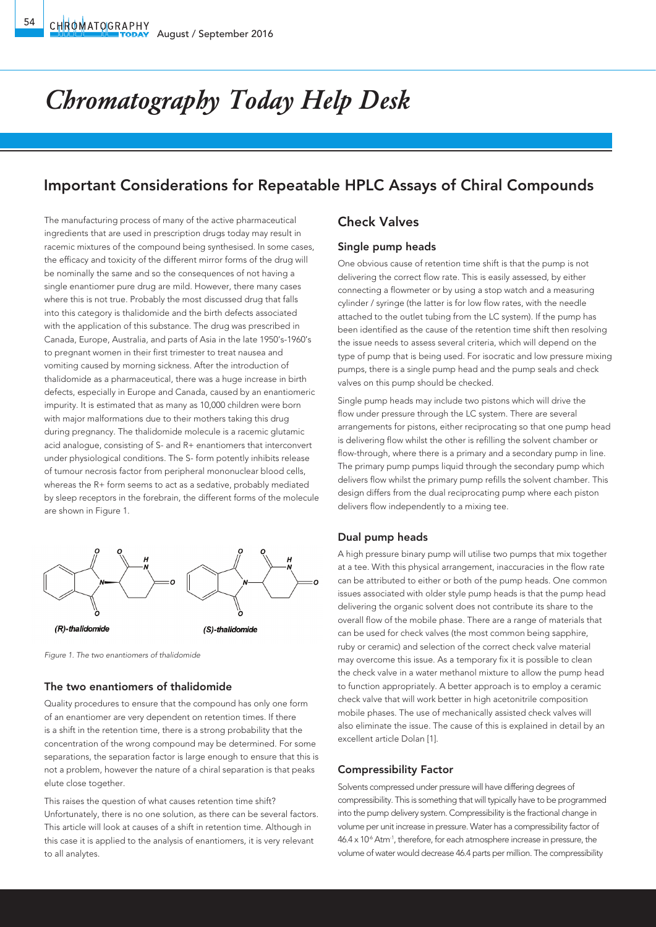# *Chromatography Today Help Desk*

## Important Considerations for Repeatable HPLC Assays of Chiral Compounds

The manufacturing process of many of the active pharmaceutical ingredients that are used in prescription drugs today may result in racemic mixtures of the compound being synthesised. In some cases, the efficacy and toxicity of the different mirror forms of the drug will be nominally the same and so the consequences of not having a single enantiomer pure drug are mild. However, there many cases where this is not true. Probably the most discussed drug that falls into this category is thalidomide and the birth defects associated with the application of this substance. The drug was prescribed in Canada, Europe, Australia, and parts of Asia in the late 1950's-1960's to pregnant women in their first trimester to treat nausea and vomiting caused by morning sickness. After the introduction of thalidomide as a pharmaceutical, there was a huge increase in birth defects, especially in Europe and Canada, caused by an enantiomeric impurity. It is estimated that as many as 10,000 children were born with major malformations due to their mothers taking this drug during pregnancy. The thalidomide molecule is a racemic glutamic acid analogue, consisting of S- and R+ enantiomers that interconvert under physiological conditions. The S- form potently inhibits release of tumour necrosis factor from peripheral mononuclear blood cells, whereas the R+ form seems to act as a sedative, probably mediated by sleep receptors in the forebrain, the different forms of the molecule are shown in Figure 1.



*Figure 1. The two enantiomers of thalidomide*

#### The two enantiomers of thalidomide

Quality procedures to ensure that the compound has only one form of an enantiomer are very dependent on retention times. If there is a shift in the retention time, there is a strong probability that the concentration of the wrong compound may be determined. For some separations, the separation factor is large enough to ensure that this is not a problem, however the nature of a chiral separation is that peaks elute close together.

This raises the question of what causes retention time shift? Unfortunately, there is no one solution, as there can be several factors. This article will look at causes of a shift in retention time. Although in this case it is applied to the analysis of enantiomers, it is very relevant to all analytes.

### Check Valves

#### Single pump heads

One obvious cause of retention time shift is that the pump is not delivering the correct flow rate. This is easily assessed, by either connecting a flowmeter or by using a stop watch and a measuring cylinder / syringe (the latter is for low flow rates, with the needle attached to the outlet tubing from the LC system). If the pump has been identified as the cause of the retention time shift then resolving the issue needs to assess several criteria, which will depend on the type of pump that is being used. For isocratic and low pressure mixing pumps, there is a single pump head and the pump seals and check valves on this pump should be checked.

Single pump heads may include two pistons which will drive the flow under pressure through the LC system. There are several arrangements for pistons, either reciprocating so that one pump head is delivering flow whilst the other is refilling the solvent chamber or flow-through, where there is a primary and a secondary pump in line. The primary pump pumps liquid through the secondary pump which delivers flow whilst the primary pump refills the solvent chamber. This design differs from the dual reciprocating pump where each piston delivers flow independently to a mixing tee.

#### Dual pump heads

A high pressure binary pump will utilise two pumps that mix together at a tee. With this physical arrangement, inaccuracies in the flow rate can be attributed to either or both of the pump heads. One common issues associated with older style pump heads is that the pump head delivering the organic solvent does not contribute its share to the overall flow of the mobile phase. There are a range of materials that can be used for check valves (the most common being sapphire, ruby or ceramic) and selection of the correct check valve material may overcome this issue. As a temporary fix it is possible to clean the check valve in a water methanol mixture to allow the pump head to function appropriately. A better approach is to employ a ceramic check valve that will work better in high acetonitrile composition mobile phases. The use of mechanically assisted check valves will also eliminate the issue. The cause of this is explained in detail by an excellent article Dolan [1].

#### Compressibility Factor

Solvents compressed under pressure will have differing degrees of compressibility. This is something that will typically have to be programmed into the pump delivery system. Compressibility is the fractional change in volume per unit increase in pressure. Water has a compressibility factor of  $46.4 \times 10<sup>6</sup>$  Atm<sup>-1</sup>, therefore, for each atmosphere increase in pressure, the volume of water would decrease 46.4 parts per million. The compressibility